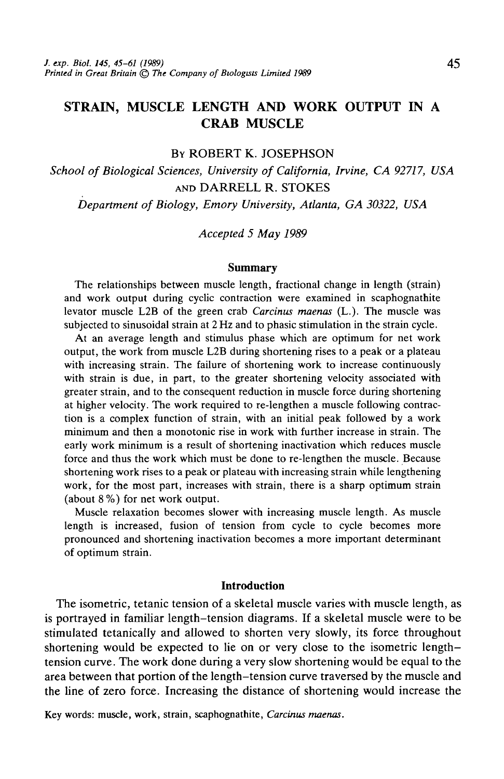# STRAIN, MUSCLE LENGTH AND WORK OUTPUT IN A CRAB MUSCLE

### BY ROBERT K. JOSEPHSON

*School of Biological Sciences, University of California, Irvine, CA 92717, USA* AND DARRELL R. STOKES *Department of Biology, Emory University, Atlanta, GA 30322, USA*

### *Accepted 5 May 1989*

#### **Summary**

The relationships between muscle length, fractional change in length (strain) and work output during cyclic contraction were examined in scaphognathite levator muscle L2B of the green crab *Carcinus maenas* (L.). The muscle was subjected to sinusoidal strain at 2 Hz and to phasic stimulation in the strain cycle.

At an average length and stimulus phase which are optimum for net work output, the work from muscle L2B during shortening rises to a peak or a plateau with increasing strain. The failure of shortening work to increase continuously with strain is due, in part, to the greater shortening velocity associated with greater strain, and to the consequent reduction in muscle force during shortening at higher velocity. The work required to re-lengthen a muscle following contraction is a complex function of strain, with an initial peak followed by a work minimum and then a monotonic rise in work with further increase in strain. The early work minimum is a result of shortening inactivation which reduces muscle force and thus the work which must be done to re-lengthen the muscle. Because shortening work rises to a peak or plateau with increasing strain while lengthening work, for the most part, increases with strain, there is a sharp optimum strain (about 8 %) for net work output.

Muscle relaxation becomes slower with increasing muscle length. As muscle length is increased, fusion of tension from cycle to cycle becomes more pronounced and shortening inactivation becomes a more important determinant of optimum strain.

#### **Introduction**

The isometric, tetanic tension of a skeletal muscle varies with muscle length, as is portrayed in familiar length-tension diagrams. If a skeletal muscle were to be stimulated tetanically and allowed to shorten very slowly, its force throughout shortening would be expected to lie on or very close to the isometric lengthtension curve. The work done during a very slow shortening would be equal to the area between that portion of the length-tension curve traversed by the muscle and the line of zero force. Increasing the distance of shortening would increase the

Key words: muscle, work, strain, scaphognathite, *Carcinus maenas.*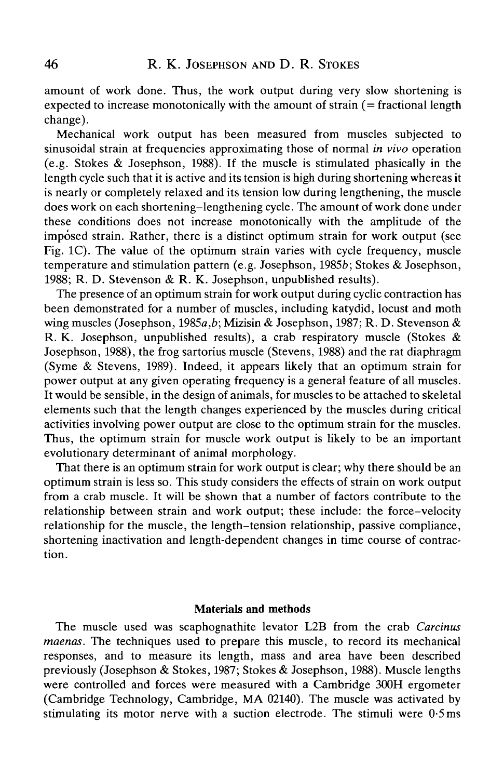amount of work done. Thus, the work output during very slow shortening is expected to increase monotonically with the amount of strain (= fractional length change).

Mechanical work output has been measured from muscles subjected to sinusoidal strain at frequencies approximating those of normal *in vivo* operation (e.g. Stokes & Josephson, 1988). If the muscle is stimulated phasically in the length cycle such that it is active and its tension is high during shortening whereas it is nearly or completely relaxed and its tension low during lengthening, the muscle does work on each shortening-lengthening cycle. The amount of work done under these conditions does not increase monotonically with the amplitude of the imposed strain. Rather, there is a distinct optimum strain for work output (see Fig. 1C). The value of the optimum strain varies with cycle frequency, muscle temperature and stimulation pattern (e.g. Josephson, 1985b; Stokes & Josephson, 1988; R. D. Stevenson & R. K. Josephson, unpublished results).

The presence of an optimum strain for work output during cyclic contraction has been demonstrated for a number of muscles, including katydid, locust and moth wing muscles (Josephson, 1985a,*b;* Mizisin & Josephson, 1987; R. D. Stevenson & R. K. Josephson, unpublished results), a crab respiratory muscle (Stokes & Josephson, 1988), the frog sartorius muscle (Stevens, 1988) and the rat diaphragm (Syme & Stevens, 1989). Indeed, it appears likely that an optimum strain for power output at any given operating frequency is a general feature of all muscles. It would be sensible, in the design of animals, for muscles to be attached to skeletal elements such that the length changes experienced by the muscles during critical activities involving power output are close to the optimum strain for the muscles. Thus, the optimum strain for muscle work output is likely to be an important evolutionary determinant of animal morphology.

That there is an optimum strain for work output is clear; why there should be an optimum strain is less so. This study considers the effects of strain on work output from a crab muscle. It will be shown that a number of factors contribute to the relationship between strain and work output; these include: the force-velocity relationship for the muscle, the length-tension relationship, passive compliance, shortening inactivation and length-dependent changes in time course of contraction.

# Materials and methods

The muscle used was scaphognathite levator L2B from the crab *Carcinus maenas.* The techniques used to prepare this muscle, to record its mechanical responses, and to measure its length, mass and area have been described previously (Josephson & Stokes, 1987; Stokes & Josephson, 1988). Muscle lengths were controlled and forces were measured with a Cambridge 300H ergometer (Cambridge Technology, Cambridge, MA 02140). The muscle was activated by stimulating its motor nerve with a suction electrode. The stimuli were 0-5 ms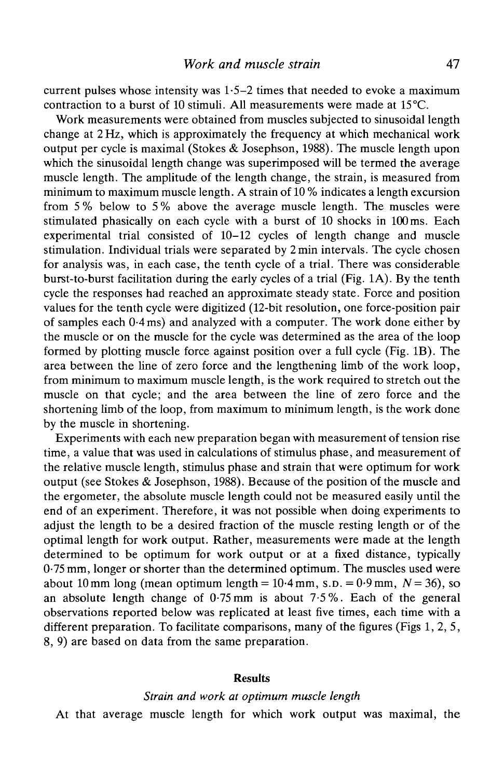current pulses whose intensity was  $1.5-2$  times that needed to evoke a maximum contraction to a burst of 10 stimuli. All measurements were made at 15°C.

Work measurements were obtained from muscles subjected to sinusoidal length change at 2 Hz, which is approximately the frequency at which mechanical work output per cycle is maximal (Stokes & Josephson, 1988). The muscle length upon which the sinusoidal length change was superimposed will be termed the average muscle length. The amplitude of the length change, the strain, is measured from minimum to maximum muscle length. A strain of 10 % indicates a length excursion from 5 % below to 5 % above the average muscle length. The muscles were stimulated phasically on each cycle with a burst of 10 shocks in 100 ms. Each experimental trial consisted of 10-12 cycles of length change and muscle stimulation. Individual trials were separated by 2min intervals. The cycle chosen for analysis was, in each case, the tenth cycle of a trial. There was considerable burst-to-burst facilitation during the early cycles of a trial (Fig. 1A). By the tenth cycle the responses had reached an approximate steady state. Force and position values for the tenth cycle were digitized (12-bit resolution, one force-position pair of samples each 0-4 ms) and analyzed with a computer. The work done either by the muscle or on the muscle for the cycle was determined as the area of the loop formed by plotting muscle force against position over a full cycle (Fig. IB). The area between the line of zero force and the lengthening limb of the work loop, from minimum to maximum muscle length, is the work required to stretch out the muscle on that cycle; and the area between the line of zero force and the shortening limb of the loop, from maximum to minimum length, is the work done by the muscle in shortening.

Experiments with each new preparation began with measurement of tension rise time, a value that was used in calculations of stimulus phase, and measurement of the relative muscle length, stimulus phase and strain that were optimum for work output (see Stokes & Josephson, 1988). Because of the position of the muscle and the ergometer, the absolute muscle length could not be measured easily until the end of an experiment. Therefore, it was not possible when doing experiments to adjust the length to be a desired fraction of the muscle resting length or of the optimal length for work output. Rather, measurements were made at the length determined to be optimum for work output or at a fixed distance, typically 0-75 mm, longer or shorter than the determined optimum. The muscles used were about 10 mm long (mean optimum length =  $10.4$  mm, s.p. =  $0.9$  mm,  $N = 36$ ), so an absolute length change of  $0.75$  mm is about  $7.5$ %. Each of the general observations reported below was replicated at least five times, each time with a different preparation. To facilitate comparisons, many of the figures (Figs 1, 2, 5, 8, 9) are based on data from the same preparation.

#### **Results**

#### *Strain and work at optimum muscle length*

At that average muscle length for which work output was maximal, the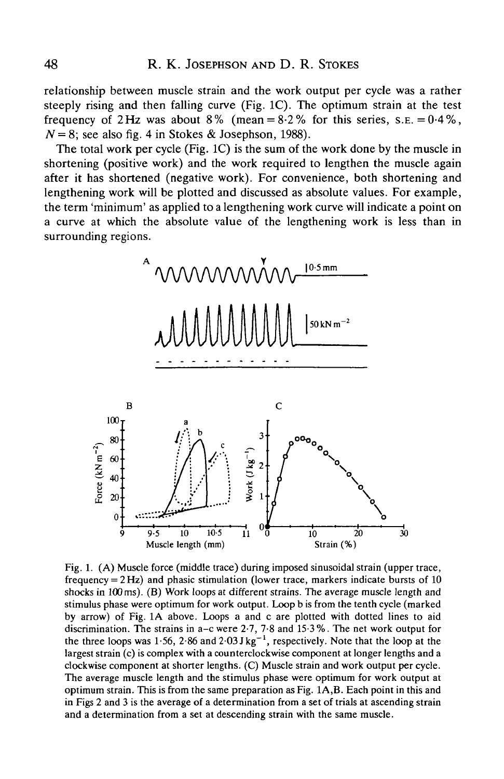relationship between muscle strain and the work output per cycle was a rather steeply rising and then falling curve (Fig. 1C). The optimum strain at the test frequency of 2Hz was about 8% (mean =  $8.2\%$  for this series, s.e. =  $0.4\%$ ,  $N = 8$ ; see also fig. 4 in Stokes & Josephson, 1988).

The total work per cycle (Fig. 1C) is the sum of the work done by the muscle in shortening (positive work) and the work required to lengthen the muscle again after it has shortened (negative work). For convenience, both shortening and lengthening work will be plotted and discussed as absolute values. For example, the term 'minimum' as applied to a lengthening work curve will indicate a point on a curve at which the absolute value of the lengthening work is less than in surrounding regions.



Fig. 1. (A) Muscle force (middle trace) during imposed sinusoidal strain (upper trace, frequency = 2 Hz) and phasic stimulation (lower trace, markers indicate bursts of 10 shocks in 100 ms). (B) Work loops at different strains. The average muscle length and stimulus phase were optimum for work output. Loop b is from the tenth cycle (marked by arrow) of Fig. 1A above. Loops a and c are plotted with dotted lines to aid discrimination. The strains in a-c were 2-7, 7-8 and 15-3%. The net work output for the three loops was  $1.56$ ,  $2.86$  and  $2.03$  J kg<sup>-1</sup>, respectively. Note that the loop at the largest strain (c) is complex with a counterclockwise component at longer lengths and a clockwise component at shorter lengths. (C) Muscle strain and work output per cycle. The average muscle length and the stimulus phase were optimum for work output at optimum strain. This is from the same preparation as Fig. 1A,B. Each point in this and in Figs 2 and 3 is the average of a determination from a set of trials at ascending strain and a determination from a set at descending strain with the same muscle.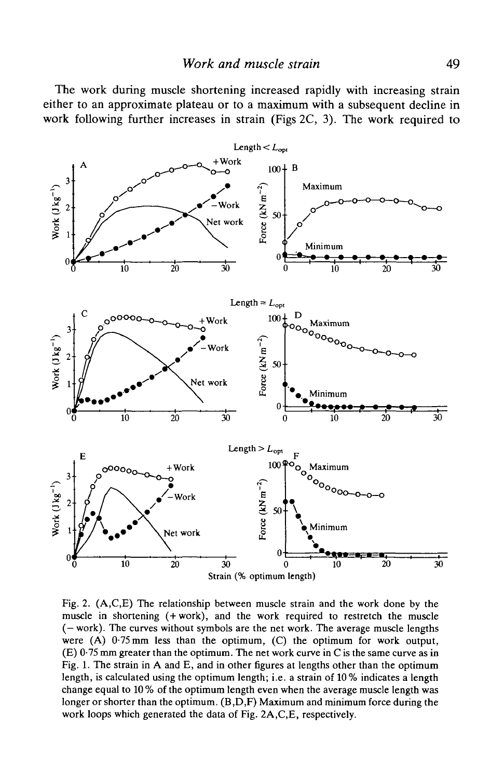The work during muscle shortening increased rapidly with increasing strain either to an approximate plateau or to a maximum with a subsequent decline in work following further increases in strain (Figs 2C, 3). The work required to



Fig. 2. (A,C,E) The relationship between muscle strain and the work done by the muscle in shortening (+work), and the work required to restretch the muscle (— work). The curves without symbols are the net work. The average muscle lengths were  $(A)$  0.75 mm less than the optimum,  $(C)$  the optimum for work output, (E) 0-75 mm greater than the optimum. The net work curve in C is the same curve as in Fig. 1. The strain in A and E, and in other figures at lengths other than the optimum length, is calculated using the optimum length; i.e. a strain of 10% indicates a length change equal to 10 % of the optimum length even when the average muscle length was longer or shorter than the optimum. (B,D,F) Maximum and minimum force during the work loops which generated the data of Fig. 2A,C,E, respectively.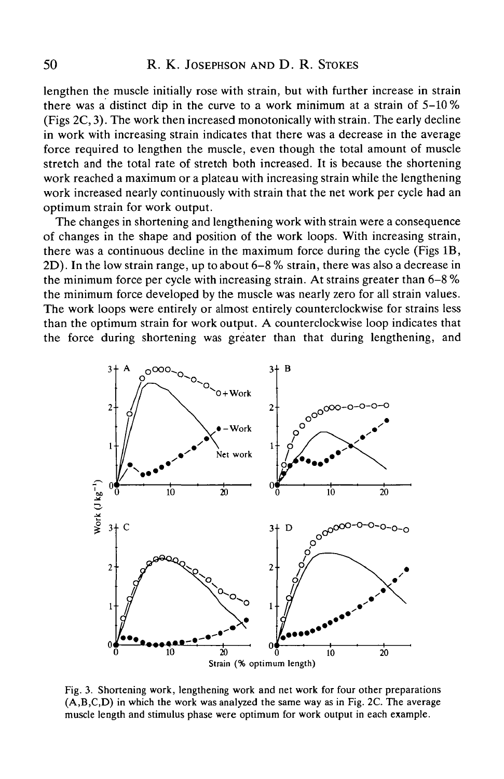lengthen the muscle initially rose with strain, but with further increase in strain there was a distinct dip in the curve to a work minimum at a strain of 5-10 % (Figs 2C, 3). The work then increased monotonically with strain. The early decline in work with increasing strain indicates that there was a decrease in the average force required to lengthen the muscle, even though the total amount of muscle stretch and the total rate of stretch both increased. It is because the shortening work reached a maximum or a plateau with increasing strain while the lengthening work increased nearly continuously with strain that the net work per cycle had an optimum strain for work output.

The changes in shortening and lengthening work with strain were a consequence of changes in the shape and position of the work loops. With increasing strain, there was a continuous decline in the maximum force during the cycle (Figs IB, 2D). In the low strain range, up to about 6-8 % strain, there was also a decrease in the minimum force per cycle with increasing strain. At strains greater than 6-8 % the minimum force developed by the muscle was nearly zero for all strain values. The work loops were entirely or almost entirely counterclockwise for strains less than the optimum strain for work output. A counterclockwise loop indicates that the force during shortening was greater than that during lengthening, and



Fig. 3. Shortening work, lengthening work and net work for four other preparations (A,B,C,D) in which the work was analyzed the same way as in Fig. 2C. The average muscle length and stimulus phase were optimum for work output in each example.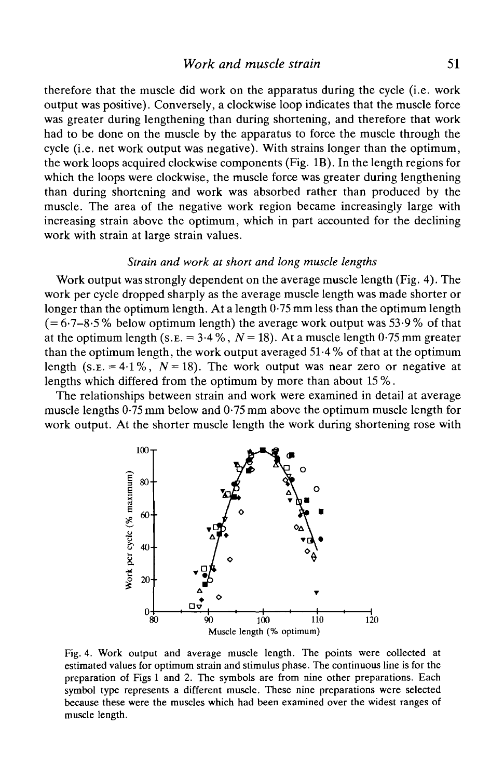therefore that the muscle did work on the apparatus during the cycle (i.e. work output was positive). Conversely, a clockwise loop indicates that the muscle force was greater during lengthening than during shortening, and therefore that work had to be done on the muscle by the apparatus to force the muscle through the cycle (i.e. net work output was negative). With strains longer than the optimum, the work loops acquired clockwise components (Fig. IB). In the length regions for which the loops were clockwise, the muscle force was greater during lengthening than during shortening and work was absorbed rather than produced by the muscle. The area of the negative work region became increasingly large with increasing strain above the optimum, which in part accounted for the declining work with strain at large strain values.

#### *Strain and work at short and long muscle lengths*

Work output was strongly dependent on the average muscle length (Fig. 4). The work per cycle dropped sharply as the average muscle length was made shorter or longer than the optimum length. At a length 0.75 mm less than the optimum length  $(= 6.7 - 8.5\%$  below optimum length) the average work output was 53.9% of that at the optimum length (s.  $E = 3.4\%$ ,  $N = 18$ ). At a muscle length 0.75 mm greater than the optimum length, the work output averaged 51-4 % of that at the optimum length (s.e. = 4.1%,  $N = 18$ ). The work output was near zero or negative at lengths which differed from the optimum by more than about 15 %.

The relationships between strain and work were examined in detail at average muscle lengths 0-75 mm below and 0-75 mm above the optimum muscle length for work output. At the shorter muscle length the work during shortening rose with



Fig. 4. Work output and average muscle length. The points were collected at estimated values for optimum strain and stimulus phase. The continuous line is for the preparation of Figs 1 and 2. The symbols are from nine other preparations. Each symbol type represents a different muscle. These nine preparations were selected because these were the muscles which had been examined over the widest ranges of muscle length.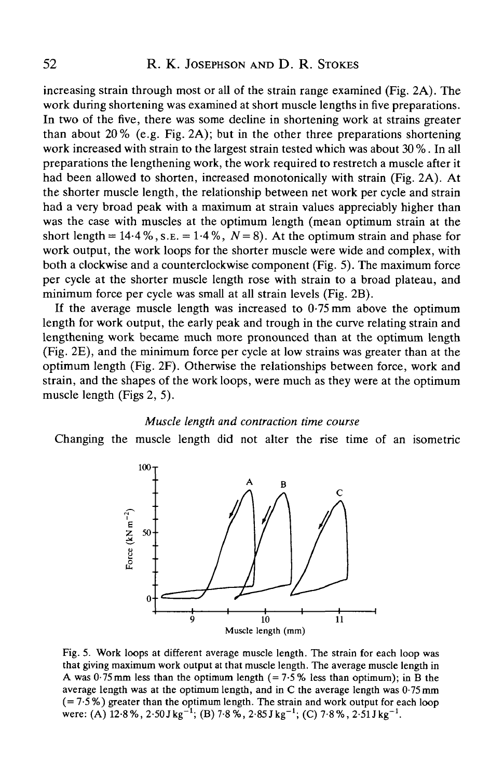increasing strain through most or all of the strain range examined (Fig. 2A). The work during shortening was examined at short muscle lengths in five preparations. In two of the five, there was some decline in shortening work at strains greater than about  $20\%$  (e.g. Fig. 2A); but in the other three preparations shortening work increased with strain to the largest strain tested which was about 30 %. In all preparations the lengthening work, the work required to restretch a muscle after it had been allowed to shorten, increased monotonically with strain (Fig. 2A). At the shorter muscle length, the relationship between net work per cycle and strain had a very broad peak with a maximum at strain values appreciably higher than was the case with muscles at the optimum length (mean optimum strain at the short length =  $14.4\%$ , s.e. =  $1.4\%$ ,  $N = 8$ ). At the optimum strain and phase for work output, the work loops for the shorter muscle were wide and complex, with both a clockwise and a counterclockwise component (Fig. 5). The maximum force per cycle at the shorter muscle length rose with strain to a broad plateau, and minimum force per cycle was small at all strain levels (Fig. 2B).

If the average muscle length was increased to  $0.75$  mm above the optimum length for work output, the early peak and trough in the curve relating strain and lengthening work became much more pronounced than at the optimum length (Fig. 2E), and the minimum force per cycle at low strains was greater than at the optimum length (Fig. 2F). Otherwise the relationships between force, work and strain, and the shapes of the work loops, were much as they were at the optimum muscle length (Figs 2, 5).

#### *Muscle length and contraction time course*

Changing the muscle length did not alter the rise time of an isometric



Fig. 5. Work loops at different average muscle length. The strain for each loop was that giving maximum work output at that muscle length. The average muscle length in A was  $0.75$  mm less than the optimum length (=7.5% less than optimum); in B the average length was at the optimum length, and in C the average length was 0-75 mm  $(= 7.5\%)$  greater than the optimum length. The strain and work output for each loop were: (A)  $12.8\%$ ,  $2.50$  J kg<sup>-1</sup>; (B)  $7.8\%$ ,  $2.85$  J kg<sup>-1</sup>; (C)  $7.8\%$ ,  $2.5$ 1 J kg<sup>-1</sup>.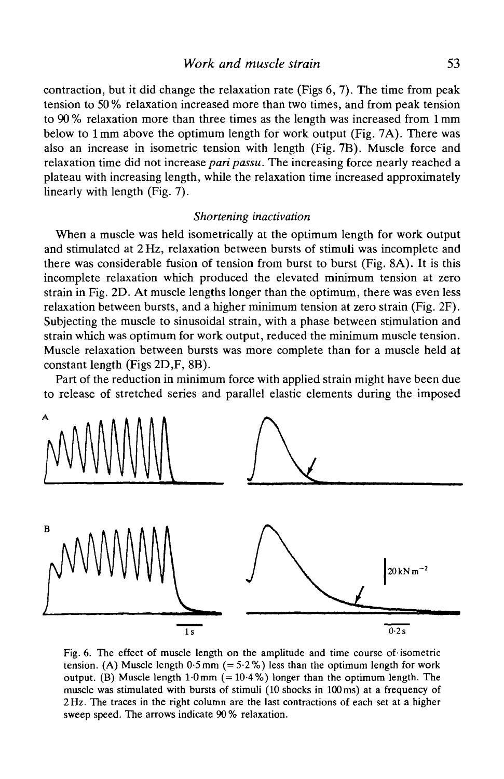contraction, but it did change the relaxation rate (Figs 6, 7). The time from peak tension to 50 % relaxation increased more than two times, and from peak tension to 90 % relaxation more than three times as the length was increased from 1 mm below to lmm above the optimum length for work output (Fig. 7A). There was also an increase in isometric tension with length (Fig. 7B). Muscle force and relaxation time did not increase *pari passu.* The increasing force nearly reached a plateau with increasing length, while the relaxation time increased approximately linearly with length (Fig. 7).

# *Shortening inactivation*

When a muscle was held isometrically at the optimum length for work output and stimulated at 2 Hz, relaxation between bursts of stimuli was incomplete and there was considerable fusion of tension from burst to burst (Fig. 8A). It is this incomplete relaxation which produced the elevated minimum tension at zero strain in Fig. 2D. At muscle lengths longer than the optimum, there was even less relaxation between bursts, and a higher minimum tension at zero strain (Fig. 2F). Subjecting the muscle to sinusoidal strain, with a phase between stimulation and strain which was optimum for work output, reduced the minimum muscle tension. Muscle relaxation between bursts was more complete than for a muscle held at constant length (Figs 2D,F, 8B).

Part of the reduction in minimum force with applied strain might have been due to release of stretched series and parallel elastic elements during the imposed



Fig. 6. The effect of muscle length on the amplitude and time course of' isometric tension. (A) Muscle length  $0.5$  mm (=  $5.2$ %) less than the optimum length for work output. (B) Muscle length  $1.0 \text{ mm}$  (=  $10.4 \%$ ) longer than the optimum length. The muscle was stimulated with bursts of stimuli (10 shocks in 100 ms) at a frequency of 2 Hz. The traces in the right column are the last contractions of each set at a higher sweep speed. The arrows indicate 90% relaxation.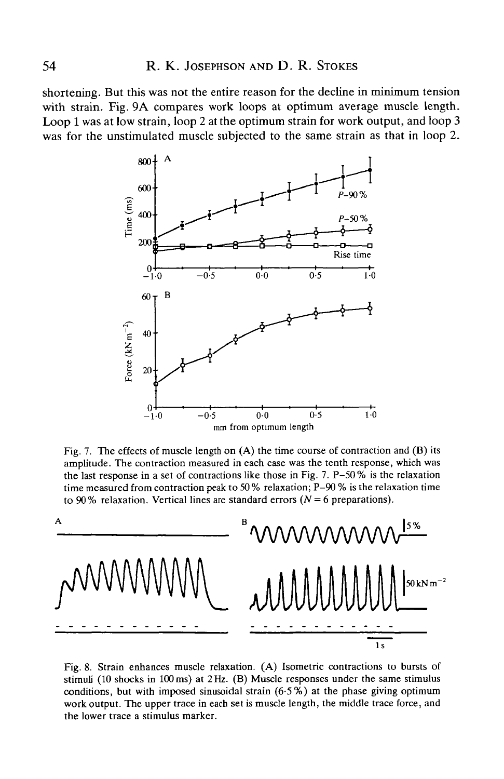shortening. But this was not the entire reason for the decline in minimum tension with strain. Fig. 9A compares work loops at optimum average muscle length. Loop 1 was at low strain, loop 2 at the optimum strain for work output, and loop 3 was for the unstimulated muscle subjected to the same strain as that in loop 2.



Fig. 7. The effects of muscle length on  $(A)$  the time course of contraction and  $(B)$  its amplitude. The contraction measured in each case was the tenth response, which was the last response in a set of contractions like those in Fig. 7. P-50% is the relaxation time measured from contraction peak to 50 % relaxation; P-90 % is the relaxation time to 90% relaxation. Vertical lines are standard errors  $(N = 6$  preparations).



Fig. 8. Strain enhances muscle relaxation. (A) Isometric contractions to bursts of stimuli (10 shocks in 100 ms) at 2 Hz. (B) Muscle responses under the same stimulus conditions, but with imposed sinusoidal strain  $(6.5\%)$  at the phase giving optimum work output. The upper trace in each set is muscle length, the middle trace force, and the lower trace a stimulus marker.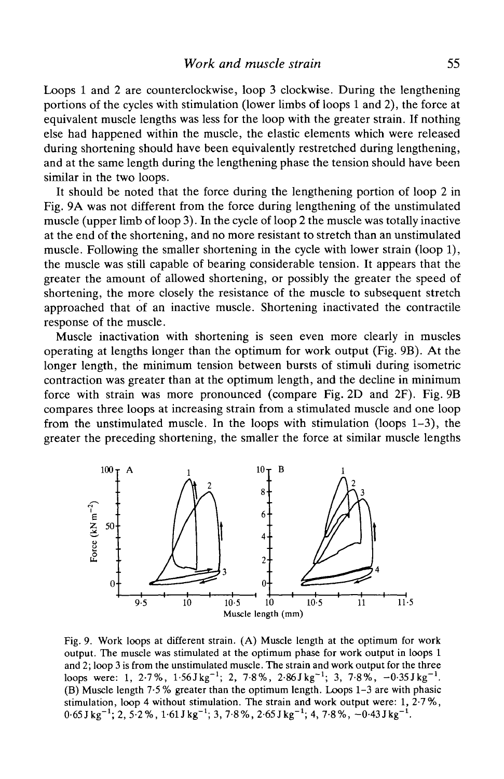Loops 1 and 2 are counterclockwise, loop 3 clockwise. During the lengthening portions of the cycles with stimulation (lower limbs of loops 1 and 2), the force at equivalent muscle lengths was less for the loop with the greater strain. If nothing else had happened within the muscle, the elastic elements which were released during shortening should have been equivalently restretched during lengthening, and at the same length during the lengthening phase the tension should have been similar in the two loops.

It should be noted that the force during the lengthening portion of loop 2 in Fig. 9A was not different from the force during lengthening of the unstimulated muscle (upper limb of loop 3). In the cycle of loop 2 the muscle was totally inactive at the end of the shortening, and no more resistant to stretch than an unstimulated muscle. Following the smaller shortening in the cycle with lower strain (loop 1), the muscle was still capable of bearing considerable tension. It appears that the greater the amount of allowed shortening, or possibly the greater the speed of shortening, the more closely the resistance of the muscle to subsequent stretch approached that of an inactive muscle. Shortening inactivated the contractile response of the muscle.

Muscle inactivation with shortening is seen even more clearly in muscles operating at lengths longer than the optimum for work output (Fig. 9B). At the longer length, the minimum tension between bursts of stimuli during isometric contraction was greater than at the optimum length, and the decline in minimum force with strain was more pronounced (compare Fig. 2D and 2F). Fig. 9B compares three loops at increasing strain from a stimulated muscle and one loop from the unstimulated muscle. In the loops with stimulation (loops 1-3), the greater the preceding shortening, the smaller the force at similar muscle lengths



Fig. 9. Work loops at different strain. (A) Muscle length at the optimum for work output. The muscle was stimulated at the optimum phase for work output in loops 1 and 2; loop 3 is from the unstimulated muscle. The strain and work output for the three loops were: 1, 2.7%,  $1.56J kg^{-1}$ ; 2, 7.8%, 2.86Jkg<sup>-1</sup>; 3, 7.8%, -0.35Jkg<sup>-1</sup>. (B) Muscle length 7-5 % greater than the optimum length. Loops 1-3 are with phasic stimulation, loop 4 without stimulation. The strain and work output were: 1, 2-7%,  $0.65$  J kg<sup>-1</sup>; 2, 5<sup>2</sup> %, 1.61 J kg<sup>-1</sup>; 3, 7.8%, 2.65 J kg<sup>-1</sup>; 4, 7.8%, -0.43 J kg<sup>-1</sup>.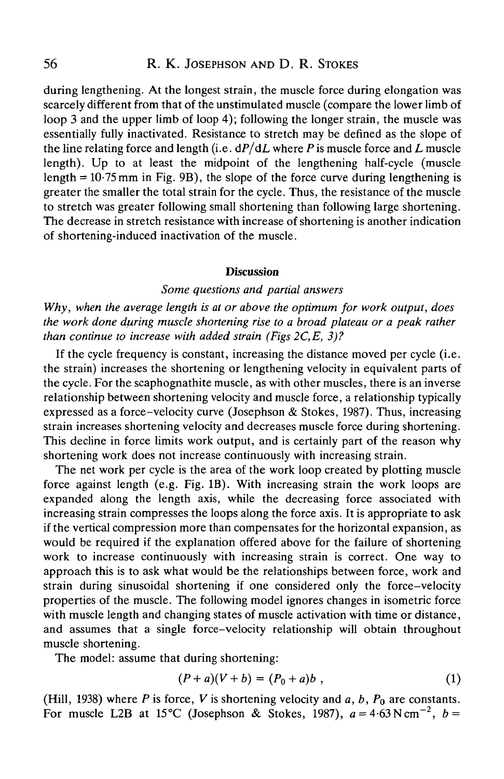# 56 R. K. JOSEPHSON AND D. R. STOKES

during lengthening. At the longest strain, the muscle force during elongation was scarcely different from that of the unstimulated muscle (compare the lower limb of loop 3 and the upper limb of loop 4); following the longer strain, the muscle was essentially fully inactivated. Resistance to stretch may be defined as the slope of the line relating force and length (i.e. dP/dL where *P* is muscle force and *L* muscle length). Up to at least the midpoint of the lengthening half-cycle (muscle length =  $10.75$  mm in Fig. 9B), the slope of the force curve during lengthening is greater the smaller the total strain for the cycle. Thus, the resistance of the muscle to stretch was greater following small shortening than following large shortening. The decrease in stretch resistance with increase of shortening is another indication of shortening-induced inactivation of the muscle.

#### **Discussion**

# *Some questions and partial answers*

*Why, when the average length is at or above the optimum for work output, does the work done during muscle shortening rise to a broad plateau or a peak rather than continue to increase with added strain (Figs 2C,E, 3)?*

If the cycle frequency is constant, increasing the distance moved per cycle (i.e. the strain) increases the shortening or lengthening velocity in equivalent parts of the cycle. For the scaphognathite muscle, as with other muscles, there is an inverse relationship between shortening velocity and muscle force, a relationship typically expressed as a force-velocity curve (Josephson & Stokes, 1987). Thus, increasing strain increases shortening velocity and decreases muscle force during shortening. This decline in force limits work output, and is certainly part of the reason why shortening work does not increase continuously with increasing strain.

The net work per cycle is the area of the work loop created by plotting muscle force against length (e.g. Fig. IB). With increasing strain the work loops are expanded along the length axis, while the decreasing force associated with increasing strain compresses the loops along the force axis. It is appropriate to ask if the vertical compression more than compensates for the horizontal expansion, as would be required if the explanation offered above for the failure of shortening work to increase continuously with increasing strain is correct. One way to approach this is to ask what would be the relationships between force, work and strain during sinusoidal shortening if one considered only the force-velocity properties of the muscle. The following model ignores changes in isometric force with muscle length and changing states of muscle activation with time or distance, and assumes that a single force-velocity relationship will obtain throughout muscle shortening.

The model: assume that during shortening:

$$
(P+a)(V+b) = (P_0 + a)b , \t\t(1)
$$

(Hill, 1938) where *P* is force, Vis shortening velocity and *a, b, Po* are constants. For muscle L2B at 15°C (Josephson & Stokes, 1987),  $a = 4.63 \text{ N cm}^{-2}$ ,  $b =$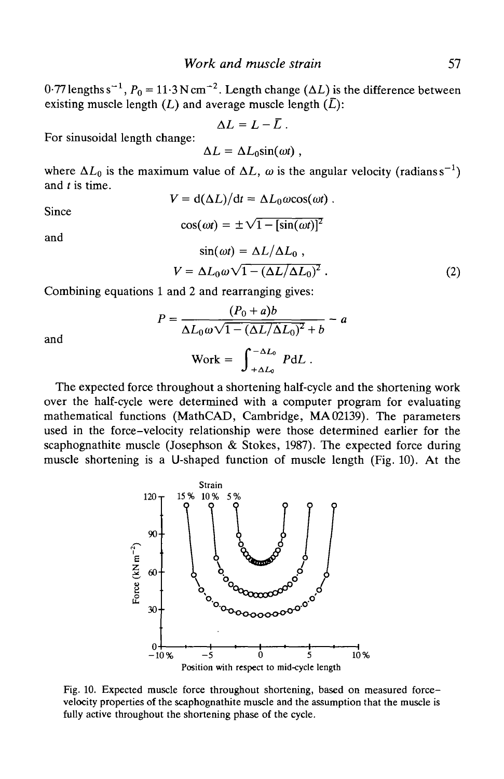$0.77$  lengths s<sup>-1</sup>,  $P_0 = 11.3$  N cm<sup>-2</sup>. Length change ( $\Delta L$ ) is the difference between existing muscle length  $(L)$  and average muscle length  $(\overline{L})$ :

$$
\Delta L = L - \bar{L} \ .
$$

For sinusoidal length change:

$$
\Delta L = \Delta L_0 \sin(\omega t) ,
$$

where  $\Delta L_0$  is the maximum value of  $\Delta L$ ,  $\omega$  is the angular velocity (radianss<sup>-1</sup>) and *t* is time.  $V = d(\Delta L)/dt = \Delta L_0 \omega \cos(\omega t)$ .

Since

$$
\cos(\omega t) = \pm \sqrt{1 - [\sin(\omega t)]^2}
$$

and

$$
\sin(\omega t) = \Delta L / \Delta L_0 ,
$$
  
\n
$$
V = \Delta L_0 \omega \sqrt{1 - (\Delta L / \Delta L_0)^2} .
$$
 (2)

Combining equations 1 and 2 and rearranging gives:

$$
P = \frac{(P_0 + a)b}{\Delta L_0 \omega \sqrt{1 - (\Delta L/\Delta L_0)^2} + b} - a
$$
  
Work =  $\int_{+\Delta L_0}^{-\Delta L_0} P dL$ .

and

The expected force throughout a shortening half-cycle and the shortening work over the half-cycle were determined with a computer program for evaluating mathematical functions (MathCAD, Cambridge, MA 02139). The parameters used in the force-velocity relationship were those determined earlier for the scaphognathite muscle (Josephson & Stokes, 1987). The expected force during muscle shortening is a U-shaped function of muscle length (Fig. 10). At the



Fig. 10. Expected muscle force throughout shortening, based on measured forcevelocity properties of the scaphognathite muscle and the assumption that the muscle is fully active throughout the shortening phase of the cycle.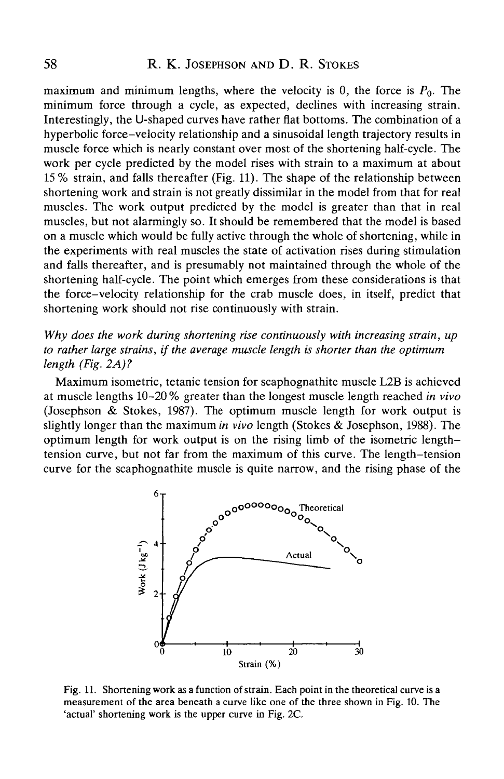maximum and minimum lengths, where the velocity is 0, the force is *Po.* The minimum force through a cycle, as expected, declines with increasing strain. Interestingly, the U-shaped curves have rather fiat bottoms. The combination of a hyperbolic force-velocity relationship and a sinusoidal length trajectory results in muscle force which is nearly constant over most of the shortening half-cycle. The work per cycle predicted by the model rises with strain to a maximum at about 15 % strain, and falls thereafter (Fig. 11). The shape of the relationship between shortening work and strain is not greatly dissimilar in the model from that for real muscles. The work output predicted by the model is greater than that in real muscles, but not alarmingly so. It should be remembered that the model is based on a muscle which would be fully active through the whole of shortening, while in the experiments with real muscles the state of activation rises during stimulation and falls thereafter, and is presumably not maintained through the whole of the shortening half-cycle. The point which emerges from these considerations is that the force-velocity relationship for the crab muscle does, in itself, predict that shortening work should not rise continuously with strain.

*Why does the work during shortening rise continuously with increasing strain, up to rather large strains, if the average muscle length is shorter than the optimum length (Fig. 2A)?*

Maximum isometric, tetanic tension for scaphognathite muscle L2B is achieved at muscle lengths 10-20 % greater than the longest muscle length reached *in vivo* (Josephson  $\&$  Stokes, 1987). The optimum muscle length for work output is slightly longer than the maximum *in vivo* length (Stokes & Josephson, 1988). The optimum length for work output is on the rising limb of the isometric lengthtension curve, but not far from the maximum of this curve. The length-tension curve for the scaphognathite muscle is quite narrow, and the rising phase of the



Fig. 11. Shortening work as a function of strain. Each point in the theoretical curve is a measurement of the area beneath a curve like one of the three shown in Fig. 10. The 'actual' shortening work is the upper curve in Fig. 2C.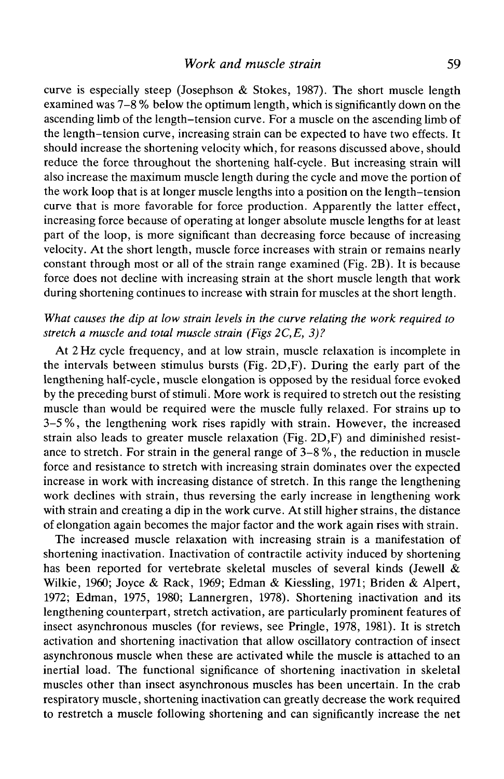curve is especially steep (Josephson & Stokes, 1987). The short muscle length examined was 7-8 % below the optimum length, which is significantly down on the ascending limb of the length-tension curve. For a muscle on the ascending limb of the length-tension curve, increasing strain can be expected to have two effects. It should increase the shortening velocity which, for reasons discussed above, should reduce the force throughout the shortening half-cycle. But increasing strain will also increase the maximum muscle length during the cycle and move the portion of the work loop that is at longer muscle lengths into a position on the length-tension curve that is more favorable for force production. Apparently the latter effect, increasing force because of operating at longer absolute muscle lengths for at least part of the loop, is more significant than decreasing force because of increasing velocity. At the short length, muscle force increases with strain or remains nearly constant through most or all of the strain range examined (Fig. 2B). It is because force does not decline with increasing strain at the short muscle length that work during shortening continues to increase with strain for muscles at the short length.

# *What causes the dip at low strain levels in the curve relating the work required to stretch a muscle and total muscle strain (Figs 2C,E, 3)?*

At 2 Hz cycle frequency, and at low strain, muscle relaxation is incomplete in the intervals between stimulus bursts (Fig. 2D,F). During the early part of the lengthening half-cycle, muscle elongation is opposed by the residual force evoked by the preceding burst of stimuli. More work is required to stretch out the resisting muscle than would be required were the muscle fully relaxed. For strains up to 3-5 %, the lengthening work rises rapidly with strain. However, the increased strain also leads to greater muscle relaxation (Fig. 2D,F) and diminished resistance to stretch. For strain in the general range of 3-8 *%*, the reduction in muscle force and resistance to stretch with increasing strain dominates over the expected increase in work with increasing distance of stretch. In this range the lengthening work declines with strain, thus reversing the early increase in lengthening work with strain and creating a dip in the work curve. At still higher strains, the distance of elongation again becomes the major factor and the work again rises with strain.

The increased muscle relaxation with increasing strain is a manifestation of shortening inactivation. lnactivation of contractile activity induced by shortening has been reported for vertebrate skeletal muscles of several kinds (Jewell  $\&$ Wilkie, 1960; Joyce & Rack, 1969; Edman & Kiessling, 1971; Briden & Alpert, 1972; Edman, 1975, 1980; Lannergren, 1978). Shortening inactivation and its lengthening counterpart, stretch activation, are particularly prominent features of insect asynchronous muscles (for reviews, see Pringle, 1978, 1981). It is stretch activation and shortening inactivation that allow oscillatory contraction of insect asynchronous muscle when these are activated while the muscle is attached to an inertial load. The functional significance of shortening inactivation in skeletal muscles other than insect asynchronous muscles has been uncertain. In the crab respiratory muscle, shortening inactivation can greatly decrease the work required to restretch a muscle following shortening and can significantly increase the net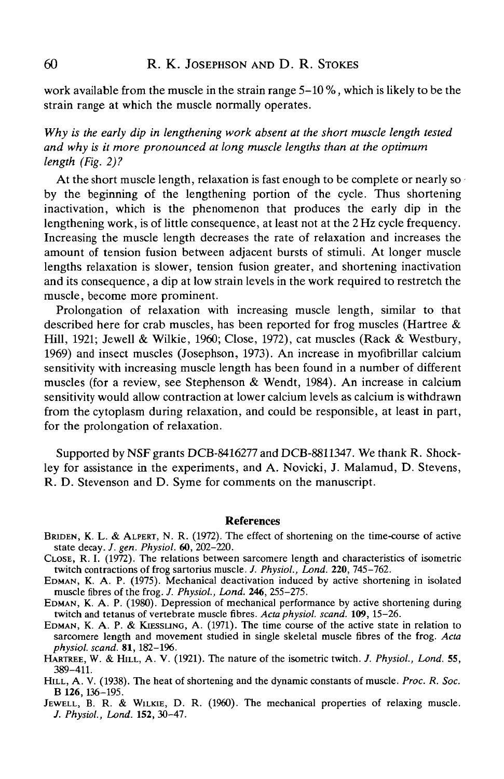work available from the muscle in the strain range 5-10 %, which is likely to be the strain range at which the muscle normally operates.

*Why is the early dip in lengthening work absent at the short muscle length tested and why is it more pronounced at long muscle lengths than at the optimum length (Fig. 2)1*

At the short muscle length, relaxation is fast enough to be complete or nearly so by the beginning of the lengthening portion of the cycle. Thus shortening inactivation, which is the phenomenon that produces the early dip in the lengthening work, is of little consequence, at least not at the 2 Hz cycle frequency. Increasing the muscle length decreases the rate of relaxation and increases the amount of tension fusion between adjacent bursts of stimuli. At longer muscle lengths relaxation is slower, tension fusion greater, and shortening inactivation and its consequence, a dip at low strain levels in the work required to restretch the muscle, become more prominent.

Prolongation of relaxation with increasing muscle length, similar to that described here for crab muscles, has been reported for frog muscles (Hartree & Hill, 1921; Jewell & Wilkie, 1960; Close, 1972), cat muscles (Rack & Westbury, 1969) and insect muscles (Josephson, 1973). An increase in myofibrillar calcium sensitivity with increasing muscle length has been found in a number of different muscles (for a review, see Stephenson & Wendt, 1984). An increase in calcium sensitivity would allow contraction at lower calcium levels as calcium is withdrawn from the cytoplasm during relaxation, and could be responsible, at least in part, for the prolongation of relaxation.

Supported by NSF grants DCB-8416277 and DCB-8811347. We thank R. Shockley for assistance in the experiments, and A. Novicki, J. Malamud, D. Stevens, R. D. Stevenson and D. Syme for comments on the manuscript.

#### References

- BRIDEN, K. L. & ALPERT, N. R. (1972). The effect of shortening on the time-course of active state decay. J. gen. Physiol. 60, 202-220.
- CLOSE, R. I. (1972). The relations between sarcomere length and characteristics of isometric twitch contractions of frog sartorius muscle. *J. Physiol.*, *Lond.* 220, 745–762.
- EDMAN, K. A. P. (1975). Mechanical deactivation induced by active shortening in isolated muscle fibres of the frog. *J. Physiol., Lond.* **246**, 255-275.
- EDMAN, K. A. P. (1980). Depression of mechanical performance by active shortening during twitch and tetanus of vertebrate muscle fibres. Acta physiol. scand. 109, 15–26.
- EDMAN, K. A. P. & KIESSLING, A. (1971). The time course of the active state in relation to sarcomere length and movement studied in single skeletal muscle fibres of the frog. *Acta*
- *physiol. scand.* 81, 182-1%. HABTREE, W. & HILL, A. V. (1921). The nature of the isometric twitch. *J. Physiol., Lond.* **55,** 389-411.
- HILL, A. V. (1938). The heat of shortening and the dynamic constants of muscle. *Proc. R. Soc.*
- JEWELL, B. R. & WILKIE, D. R. (1960). The mechanical properties of relaxing muscle. *J. Physiol., Lond.* **152,** 30-47.